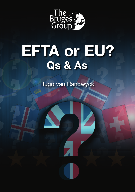

# **EFTA or EU? Qs & As**

Hugo van Randwyck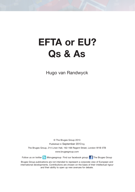## **EFTA or EU? Qs & As**

Hugo van Randwyck

© The Bruges Group 2013 Published in September 2013 by The Bruges Group, 214 Linen Hall, 162-168 Regent Street, London W1B 5TB www.brugesgroup.com

Follow us on twitter  $\bigcap$  @brugesgroup Find our facebook group: The Bruges Group

Bruges Group publications are not intended to represent a corporate view of European and international developments. Contributions are chosen on the basis of their intellectual rigour and their ability to open up new avenues for debate.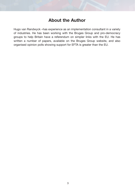## **About the Author**

Hugo van Randwyck –has experience as an implementation consultant in a variety of industries. He has been working with the Bruges Group and pro-democracy groups to help Britain have a referendum on simpler links with the EU. He has written a number of papers, available on the Bruges Group website, and also organised opinion polls showing support for EFTA is greater than the EU.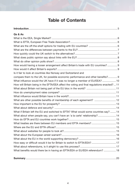## **Table of Contents**

| Os & As                                                                                     |
|---------------------------------------------------------------------------------------------|
|                                                                                             |
|                                                                                             |
|                                                                                             |
|                                                                                             |
|                                                                                             |
|                                                                                             |
|                                                                                             |
| How would having a looser arrangement affect Britain's trade with EU countries? 9           |
|                                                                                             |
| Is it fair to look at countries like Norway and Switzerland and                             |
| compare them to the UK, for possible economic performance and other benefits? 9             |
| What influence would the UK have if it was no longer a member of EU/EEA?  10                |
| How will Britain being in the EFTA/EEA affect the voting and final regulations enacted?  11 |
|                                                                                             |
|                                                                                             |
|                                                                                             |
| What are other possible benefits of membership of each agreement?  12                       |
|                                                                                             |
|                                                                                             |
| What if Britain left the EU and switched to EFTA? What would some countries say?  14        |
| What about when people say, you can't have an 'a la carte' relationship? 14                 |
|                                                                                             |
|                                                                                             |
|                                                                                             |
|                                                                                             |
|                                                                                             |
|                                                                                             |
| How easy or difficult would it be for Britain to switch to EFTA/EEA?  17                    |
|                                                                                             |
| What benefits would there be in having an EFTA/EEA or EU/EEA referendum?  18                |
|                                                                                             |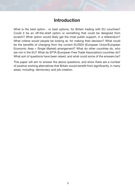## **Introduction**

What is the best option , or best options, for Britain trading with EU countries? Could it be an off-the-shelf option or something that could be designed from scratch? What option would likely get the most public support, in a referendum? What criteria would people be looking at, for making their decision? What could be the benefits of changing from the current EU/EEA (European Union/European Economic Area = Single Market) arrangement? What do other countries do, who are not in the EU? What do EFTA (European Free Trade Association) countries do? What sort of questions have been raised, and what could some of the answers be?

This paper will aim to answer the above questions, and show there are a number of positive working alternatives that Britain would benefit from significantly, in many areas, including: democracy and job creation.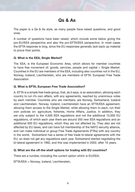## **Qs & As**

The paper is a Qs & As style, as many people have raised questions, and good ones.

A number of questions have been raised, which include some below giving the pro-EU/EEA perspective and also the pro-EFTA/EEA perspective. In most cases the EFTA response is long, since the EU responses generally lack back up material to prove their points.

#### **Q. What is the EEA, Single Market?**

The EEA, is the European Economic Area, which allows for member countries to have free movement of: goods, services, people and capital = Single Market. Countries in the EU are members of the EEA, including also countries not in the EU, Norway, Iceland, Liechtenstein, who are members of EFTA. European Free Trade Association

#### **Q. What is EFTA, European Free Trade Association?**

A. EFTA is a simple free trade group, that, as it says, is an association, allowing each country to run it's own affairs, with any agreements, reached by unanimous votes by each member. Countries who are members, are Norway, Switzerland, Iceland and Liechtenstein. Norway, Iceland, Liechtenstein have an EFTA/EEA agreement, allowing them access to the Single Market, while allowing them to each, run their own policies on: agriculture, fisheries, Home Affairs, Justice. In addition, they are only subject to the 4,500 EEA regulations and not the additional 15,000 EU regulations, of which each year there are around 350 new EEA regulations and an additional 650 EU regulations, which they are not affected by. They also are not affected by EU taxes, and can have full membership of the NATO security alliance, and can make individual or group Free Trade Agreements (FTAs) with any country in the world. Switzerland has a series of free trade bi-lateral agreements with the EU, so does not get any regulations each year. Switzerland started negotiating the bi-lateral agreement in 1992, and this was implemented in 2002, after 10 years.

#### **Q. What are the off-the-shelf options for trading with EU countries?**

There are a number, including the current option which is EU/EEA.

EFTA/EEA = Norway, Iceland, Liechtenstein,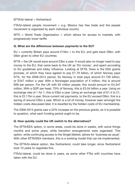#### EFTA/bi-lateral = Switzerland

 $FTA/bi$ -lateral people movement = e.g. Mexico has free trade and the people movement is organised by each individual country

 $WTO = World Trade Organization = which allows for access to markets, with$ progressively lower tariffs

#### **Q. What are the differences between payments to the EU?**

 $EU =$  currently Britain pays around £15bn + to the EU, and gets back £9bn, with £6bn given to other EU countries

 $EFTA =$  the UK would save around £3bn a year. It would also no longer need to pay money to the EU, that came back to the UK as 'EU money', and spent according to EU guidelines and lobby influence. Looking at EFTA, there is the EEA grants process, of which they have agreed to pay E1.79 billion, of which Norway pays 97%, for the 2009-2014 period. So Norway in total pays around E1.736 billion, or E347 million a year. With a Norwegian population of 5 million, this is around E69 per person. For the UK with 63 million people, this would amount to E4,347 million. With a GDP per head, 70% of Norway, this is E3.04 billion a year. Using an exchange rate of 1 for 1, this is £3bn a year. Using an exchange rate of E1.4 to £1, this is £2.17bn a year. Since current net payments, to the EU exceed £6bn, this is a saving of around £3bn a year. Which is a lot of money, however seen amongst the hidden costs discussed later, it is dwarfed by the hidden costs of EU membership.

The 2009-2014 grants saw a 22% increase on the previous grants, so it is possible to question, what each funding period ought to be.

#### **Q. How quickly could the UK switch to the alternatives?**

The EFTA/EEA option, in some areas, could be done in weeks, with some things months and some years, while transition arrangements were organised. This option, while continuing access to the Single Market, allows for 'business as usual'. With other EFTA/EEA members, this is a working model that can be implemented.

The EFTA/bi-lateral option, like Switzerland, could take longer, since Switzerland took 10 years to negotiate this.

FTA/bi-lateral, could be done in years, as some other FTAs with countries have taken with the EU.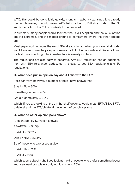WTO, this could be done fairly quickly, months, maybe a year, since it is already running, however, it would mean tariffs being added to British exports to the EU and imports from the EU, so unlikely to be favoured.

In summary, many people would feel that the EU/EEA option and the WTO option are the extremes, and the middle ground is somewhere where the other options are.

Most paperwork includes the word EEA already, in fact when you travel at airports, you'll be able to see the passport queues for EU, EEA nationals and Swiss, all one, for fast track checking. The infrastructure is already in place.

The regulations are also easy to separate. Any EEA regulation has an additional 'text with EEA relevance' added, so it is easy to see EEA regulations and EU regulations.

#### **Q. What does public opinion say about links with the EU?**

Polls can vary, however, a number of polls, have shown that:

Stay in  $EU = 30%$ 

Something looser = 40%

Get out completely  $= 30\%$ 

Which, if you are looking at the off-the-shelf options, would mean EFTA/EEA, EFTA/ bi-lateral and the FTA/bi-lateral movement of people options.

#### **Q. What do other opinion polls show?**

A recent poll by Survation showed:

 $FFA/FFTA = 54.3%$ EEA/EU = 22.2% Don't Know  $= 23.5\%$ So of those who expressed a view:  $FFA/FFTA = 71%$  $FFA/FU = 29%$ 

Which seems about right if you look at the 5 of people who prefer something looser and also want completely out, would come to 70%.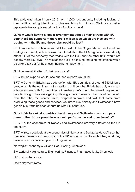This poll, was taken in July 2013, with 1,000 respondents, including looking at their political voting intentions to give weighting to opinions. Obviously a better representative sample would be the 44 million voters!

#### **Q. How would having a looser arrangement affect Britain's trade with EU countries? EU supporter= there are 3 million jobs which are involved with trading with the EU and these jobs would be lost?**

EFTA supporter= Britain would still be part of the Single Market and continue trading as normal, with no disruption. In addition the EEA regulations would only affect 9% of the economy that trades with the EU , and the other 91% would not get any more EU laws. The regulations are like a tax, so reducing regulations would be alike a tax cut for business, 'helping' employment.

#### **Q. How would it affect Britain's exports?**

EU = British exports would lose out, and exports would fall

 $EFTA = Currently Britain has trade deficit with EU countries, of around £40 billion a$ year, which is the equivalent of exporting 1 million jobs. Britain has only once had a trade surplus with EU countries, otherwise a deficit, not the win-win agreement people thought they were getting. Having a deficit, means other countries benefit from the jobs, the income taxes, corporation taxes and VAT that come from producing those goods and services. Countries like Norway and Switzerland have generally a trade balance or surplus with EU countries.

#### **Q. Is it fair to look at countries like Norway and Switzerland and compare them to the UK, for possible economic performance and other benefits?**

EU = No, the economies of Norway and Switzerland are very different to the UK economy.

EFTA = Yes, if you look at the economies of Norway and Switzerland, you'll see that their economies are more similar to the UK economy than to each other, what they have in common is a simpler EFTA agreement.

Norwegian economy  $=$  Oil and Gas, Fishing, Chemicals

Switzerland = Agriculture, Engineering, Finance, Pharmaceuticals, Chemicals

 $UK = all of the above$ 

Unemployment rates: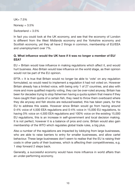UK= 7.5% Norway  $= 3.5%$ Switzerland  $=$  3.5%

In fact you could look at the UK economy, and see that the economy of London is different from the West Midlands economy and the Yorkshire economy and Scottish economy, yet they all have 2 things in common, membership of EU/EEA and unemployment over 7%.

#### **Q. What influence would the UK have if it was no longer a member of EU/ EEA?**

EU = Britain would lose influence in making regulations which affect it, and would hurt business. Also Britain would lose influence on the world stage, as their opinion would not be part of the EU opinion.

 $EFTA = It$  is true that Britain would no longer be able to 'vote' on any regulation formulated, so would need to implement a regulation it had not voted on. However Britain already has a limited voice, with being only 1 of 27 countries, and also with more and more qualified majority voting, they can be over-ruled anyway. Britain has been for decades trying to stop fishermen having a quota system that means if they have caught their quota of a certain fish, they need to throw them overboard where they die anyway and fish stocks are reduced/wasted, this has taken years, for the EU to address this waste. However since Britain would go from having around 0-4% voice of 4,500 EEA regulations and 0-4% voice in 15,000 EU regulations, to having 0% voice on 4,500 EEA regulations and 100% voice on the existing 15,000 EU regulations, this is an increase in self-government and local decision making. It is not perfect, however it is a balance of pros and cons. Britain would also gain membership of the WTO which regulates global trade rules, a big plus.

Also a number of the regulations are impacted by lobbying from large businesses, who are able to raise barriers to entry for smaller businesses, and allow cartel behaviour. These large businesses don't seem to realise that the EU is raising their costs in other parts of their business, which is affecting their competitiveness, e.g. 1 step forward 2 steps back.

Generally, a successful economy would have more influence in world affairs than an under-performing economy.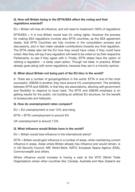#### **Q. How will Britain being in the EFTA/EEA affect the voting and final regulations enacted?**

EU = Britain will lose all influence, and will need to implement 100% of regulations

EFTA/EEA = It is true Britain would lose it's voting rights. However the process for making EEA regulations involves also EFTA countries, as the EEA agreement states, that EFTA Countries are fully involves in the consultation process and discussions, and in fact make valuable contributions towards any final regulation. The EFTA states also tell the EU how they would have voted, if they could have voted. Also they will say if any regulation will need to be voted on by their respective Parliaments, to see if they agree with it. Finally, EFTA states have the option of vetoing a regulation – a rarely used option. Though not ideal, in practice, Britain already goes along with some regulations, because they are in a minority opinion.

#### **Q. What about Britain not being part of the EU bloc in the world?**

A. There are a number of groupings/blocs in the world. EFTA is one of the most successful. ASEAN is another, they have around 4% unemployment. The similarity between EFTA and ASEAN, is that they are associations, allowing self-government and flexibility to respond to local need. The EFTA and ASEAN emphasis is on getting results for the public, not building an artificial EU structure, for the benefit of bureaucrats and lobbyists.

#### **Q. How do unemployment rates compare?**

 $EU = EU$  unemployment is over 12% and rising

EFTA = EFTA unemployment is around  $4\%$ 

UK unemployment is around 7.5%

#### **Q. What influence would Britain have in the world?**

 $FU =$  Britain would lose influence in the international arena?

EFTA = Britain would gain influence in a number of areas, while maintaining current influence in areas. Areas where Britain already has influence and would remain, is in UN Security Council, IMF, World Bank, NATO, European Space Agency (ESA), Commonwealth and others.

Where influence would increase is having a seat at the WTO (World Trade Organisation) where other countries like: Canada, Australia and New Zealand are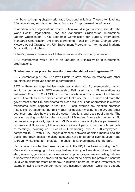members, so helping shape world trade ideas and initiatives. These often lead into EEA regulations, so this would be an 'upstream' improvement, in influence.

In addition other organisations where Britain would regain a voice, include: The World Health Organisation, Food and Agricultural Organisation, International Labour Organisation, UN's Economic Commission for Europe, International Standards Organisation, UN Intergovernmental Panel on Climate Change, World Meteorological Organisation, UN Environment Programme, International Maritime Organisation and others.

Britain's general influence would also increase as it's prosperity increased.

EFTA membership would lead to an upgrade in Britain's voice in international organisations.

#### **Q. What are other possible benefits of membership of each agreement?**

EU = Membership of the EU allows Britain to save money on trading with other countries and improves economic performance

EFTA = there are huge hidden costs associated with EU membership, which would not be there with EFTA membership. Estimated costs of EU regulations are between 3% and 10% of GDP, a cost on the whole economy, even if not trading with EU countries. Other hidden costs are that since the EU is more and more the government of the UK, and elected MPs can make all kinds of promises in election manifestos, what happens is that the EU can override any election promises made. The EU becomes the 'role model' for decision making in the UK and other countries, and also how the public sector functions and uses public funds. The decision making model includes: a council of Ministers from each country, an EU commission – politically appointed, MEPs – who have a duplicate parliament in Brussels and Strasbourg, EU agencies in different parts of Europe, lots and lots of meetings, including an EU court in Luxembourg, over 10,000 employees – compared to 90 with EFTA, longer distances between decision makers and the public, top down decision making, accounts not signed off for over 15 years - due to fraud, 'white elephant' projects - megalomania experiments like the Euro.

 So if you look at what has been happening in the UK, it has been mirroring the EU. More and more merging of local supplied services, you'll see demoralised frontline staff, in ever bigger departments, massive computer programmes – costing millions/ billions which fail to be completed on time and fail to deliver the promised benefits i.e. a white elephant waste of money. Duplication of structures and investment, for example having a new London mayor and assembly process – while there already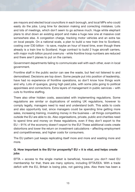are mayors and elected local councillors in each borough, and local MPs who could easily do the jobs. Long time for decision making and correcting mistakes. Lots and lots of meetings, which don't seem to go achieve much. Huge white elephant plans to shut down an existing airport and make a huge new one at massive cost somewhere else. A congestion charge, tracking motor vehicles and an extra tax on local people. On a national scale, a plan to build a new train line to Scotland, costing over £30 billion - to save, maybe an hour of travel time, even though there already is a train line to Scotland. Huge contract to build 2 huge aircraft carriers, with major multi-billion pound overruns - while frontline troop numbers are reduced and there aren't planes to put on the carriers.

Government departments failing to communicate well with each other, even in local government.

Frontline staff in the public sector can see the waste, but feel not listened to and demoralised. Decisions are top down. Some people put into position of leadership, have had no experience of frontline operations, so don't know how things work and why. Lots of quangos, giving high paid jobs, with some jobs going to political appointees and connections. Extra layers of management in public services – with cuts to frontline staffing.

There also other hidden costs, associated with implementing regulations. Some regulations are similar or duplications of existing UK regulations, however to comply legally, managers need to read and understand both. This adds to costs and also opportunity lost, since managers could be spending time getting more sales, increasing training, investing money in the business – all things competitors outside the EU are able to do. Also organisations, private, public and charities need to spend time and money on these regulations, even if they don't export to the EU – 91% of the economy doesn't export to the EU! These additional costs create distortions and lower the return on investment calculations – affecting employment and competitiveness, and higher costs for consumers.

The EU pattern just keeps replicating itself more and more and wasting more and more.

#### **Q. How important is the EU for prosperity? EU = it is vital, and helps create jobs**

EFTA = access to the single market is beneficial, however you don't need EU membership for that, there are many options, including EFTA/EEA. With a trade deficit with the EU, Britain is losing jobs, not gaining jobs. Also there has been a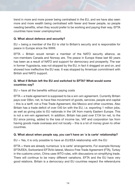trend in more and more power being centralised in the EU, and we have also seen more and more wealth being centralised with fewer and fewer people, so people needing benefits, when they would prefer to be working and paying their way. EFTA countries have lower unemployment.

#### **Q. What about defence and security?**

EU = being a member of the EU is vital to Britain's security and is responsible for peace in Europe since the WWII.

EFTA = Britain would remain a member of the NATO security alliance, as non-members Canada and Norway are. The peace in Europe these last 60 years has been as a result of NATO and support for democracy and prosperity. The war in former Yugoslavia, was not stopped by the EU, in fact it dragged on and on, and showed how ineffective the EU was. It was stopped by American commitment with British and NATO support.

#### **Q. What if Britain left the EU and switched to EFTA? What would some countries say?**

 $EU =$  have all the benefits without paying costs

EFTA = a trade agreement is supposed to be a win-win agreement. Currently Britain pays over £6bn, net, to have free movement of goods, services, people and capital – this is a tariff, not a Free Trade Agreement, like Mexico and other countries. Also Britain has a trade deficit of over £40 bn with the EU, i.e. exporting 1 million jobs, as well as giving jobs to EU nationals in the UK from mainly Eastern Europe. This is not a win-win agreement. In addition, Britain has paid over £134 bn net, to the EU since joining, added to the loss of income tax, VAT and corporation tax from having goods made overseas and not locally – this is a lot of money given to other countries.

#### **Q. What about when people say, you can't have an 'a la carte' relationship?**

EU = Yes, it is only possible to have an EU/EEA relationship with the EU

EFTA = there are already numerous 'a la carte' arrangements. For example Norway EFTA/EEA, Switzerland EFTA/bi-lateral, Mexico Free Trade Agreement (FTA), Turkey in the customs union, China uses WTO rules, with discussions on simplifying trade. There will continue to be many different variations. EFTA and the EU have very good relations. Britain is a democracy and EU countries respect the referendums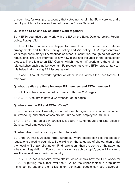of countries, for example a country that voted not to join the EU – Norway, and a country which had a referendum not have the Euro – Denmark.

#### **Q. How do EFTA and EU countries work together?**

EU = EFTA countries don't work with the EU on the Euro, Defence policy, Foreign policy, Foreign Aid.

EFTA = EFTA countries are happy to have their own currencies, Defence arrangements and treaties, Foreign policy and Aid policy. EFTA representatives work together in many EEA meetings as other EU countries, though do not vote on regulations. They are informed of any new plans and included in the consultation process. There is also an EEA Council which meets half-yearly and the chairman role switches each time between an EU representative and EFTA representative. – this helps in discussing EEA issues as well.

EFTA and EU countries work together on other issues, without the need for the EU framework.

#### **Q. What treaties are there between EU members and EFTA members?**

EU = EU countries have the Lisbon Treaty, with over 200 pages.

EFTA = EFTA countries have a Convention, of 30 pages.

#### **Q. Where are the EU and EFTA offices?**

EU = EU offices are in Brussels, a court in Luxembourg and also another Parliament in Strasbourg, and other offices around Europe, total employees, 10,000+.

EFTA = EFTA has offices in Brussels, a court in Luxembourg and also office in Geneva, total employees 90.

#### **Q. What about websites for people to look at?**

EU = the EU has a website, http://europa.eu where people can see the scope of regulations affecting countries. By clicking on the language of choice, then under the heading 'EU law' clicking on 'Find legislation', then the centre of the page has a heading 'Legislation in Force', then click on 'search by topic', you will be able to see the regulations covering a country.

EFTA = EFTA has a website, www.efta.int which shows how the EEA works for EFTA. By putting the cursor over the 'EEA' on the upper toolbar, a drop down menu comes up, and then clicking on 'seminars' people can see powerpoint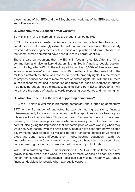presentations of the EFTA and the EEA, showing workings of the EFTA secretariat, and other workings.

#### **Q. What about the European arrest warrant?**

 $EU =$  this is vital to ensure criminals are brought justice quickly

EFTA = the evidence needed to issue an arrest warrant is less than before, and could mean a Briton wrongly extradited without sufficient evidence. There already existed extradition agreements before, this is a duplication and lower standard. In fact some crimes committed have been due to lax border controls.

There is also an argument that the EU is in fact an arsonist. After the fall of communism and also military dictatorships in South America, people couldn't work out why, after WWII, in the military dictatorships 10,000s of lives were taken, whereas in socialism/communism it was 10 of millions. Then they saw that in the military dictatorships, there was respect for private property rights. So the respect of property boundaries led to more respect of human rights. So, with the EU, there is less respect for national boundaries and there has been an increase in crimes – so needing people to be extradited. By simplifying from EU to EFTA, Britain will help move the centre of gravity towards respecting boundaries and human rights.

#### **Q. What about the EU in the world supporting democracy?**

EU = the EU plays a vital role in promoting democracy and supporting democracy.

EFTA = the EU model of unelected bureaucrats making decisions, financial mismanagement, top down management, political appointees – has been a poor role model for other countries. Those countries in Eastern Europe which have been receiving aid, have seen politicians – who were already corrupt – become more corrupt, also giving the impression that economic policies were working when they were not. Also nearby with the Arab spring, people have seen that newly elected governments have failed to deliver and go off at tangents, instead of working on bread and butter issues affecting them – jobs, housing, education, health, law and order. Also some Commonwealth countries, also have seen more centralised decision making happen and corruption, with waste of public funds.

With Britain switching from EU membership to EFTA, it will help shift the centre of gravity in many areas in the world, to self-government, working on priorities, better human rights, respect of boundaries, local decision making, integrity with public finances, decisions by people who have public support.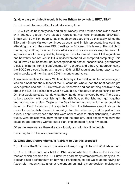#### **Q. How easy or difficult would it be for Britain to switch to EFTA/EEA?**

 $EU = it$  would be very difficult and take a long time

EFTA = it would be mostly easy and quick. Norway with 5 million people and Iceland with 300,000 people, have elected representatives who implement EFTA/EEA. Britain with 60 million people, has enough smart people to do this easily. Since the EEA part – Single Market – continues as usual, and British representatives continue attending many of the same EEA meetings in Brussels, this is easy. The switch to running agriculture, fisheries, Home Affairs and Justice are also easy. No new EU legislation would be applicable, freeing up time to look at current EU regulations and how they can be: kept in full, simplified/amended, or scrapped completely. This could involve all affected: industry/organisation sector, associations, government officials, experts, frontline staff/teams, EFTA experts and other. An approach using the 80/20 rule could help, with around 80% of EU regulations being easy to sort out in weeks and months, and 20% in months and years.

A simple example is fisheries. While on holiday in Cornwall a number of years ago, I was on a boat and the subject of the EU came up, whereupon the boat captain got very agitated and anti-EU. He was an ex-fisherman and had nothing positive to say about the EU. So I asked him what he would do, if he could change fishing policy. Oh, that would be easy, just do what they had done some years before. There used to be a problem with over fishing in the Irish Sea, so the fisherman got together and worked out a plan. Organise the Sea into blocks, and which ones could be fished in. Each fisherman got a quote for fish. If a fisherman caught above his quota for certain fish, these fish would go to other fisherman, and be part of their quota. I don't remember if the fish were sold at cost to other fishermen, if above quota. What he said was, they recognised the problem, local people who knew the situation got together, worked out a plan, implemented it, and it worked.

Often the answers are there already – locally and with frontline people.

Switching to EFTA is also pro-democracy.

#### **Q. What about referendums, is it alright to use this process?**

 $EU = it$  is not the British way to use referendums, it ought to be an In/Out referendum

EFTA = a referendum was held in 1975 about whether to stay in the Common Market, which became the EU. Britain has had many referendums on many issues. Scotland had a referendum on having a Parliament, so did Wales about having an Assembly – recently had another referendum on having more decision making and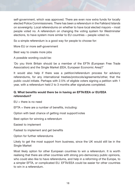self-government, which was approved. There are even now extra funds for locally elected Police Commissioners. There has been a referendum in the Falkland Islands on sovereignty. Local referendums on whether to have local elected mayors – most people voted no. A referendum on changing the voting system for Westminster elections, to have system more similar to EU countries – people voted no.

So a simple referendum is a good way for people to choose for:

More EU or more self-government

Best way to create more jobs

A possible wording could be:

'Do you think Britain should be a member of the EFTA (European Free Trade Association) and the Single Market (EEA, European Economic Area)?'

It would also help if there was a petition/referendum process for advisory referendums, for any international treaties/protocols/agreements/other, that the public could initiate. Perhaps with 2.5% of eligible voters signing a petition with 1 year, with a referendum held 2 to 3 months after signatures completed.

#### **Q. What benefits would there be in having an EFTA/EEA or EU/EEA referendum?**

 $FU =$  there is no need

 $EFTA = there$  are a number of benefits, including:

Option with best chance of getting most support/votes

Best option for winning a referendum

Easiest to implement

Fastest to implement and get benefits

Option for further referendums

Likely to get the most support from business, since the UK would still be in the Single Market

Most likely option for other European countries to win a referendum. It is worth realising that there are other countries with strong pro-democracy public opinions, who could also like to have referendums, and help in a reforming of the Europe, to a simpler EFTA, or complicated EU. EFTA/EEA could be easier for other countries to win in a referendum.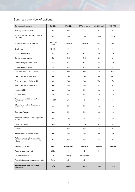#### Summary overview of options:

| Comparison information                                                                   | EU/EEA              | EFTA/ EEA  | EFTA/ bi-lateral | UK/ bi-lateral    | UK/WTO      |
|------------------------------------------------------------------------------------------|---------------------|------------|------------------|-------------------|-------------|
| New regulations per year                                                                 | 1000                | 350        | $\mathbf 0$      | $\mathbf 0$       | 0           |
| Approximate financial contributions to<br>the EU pa                                      | £6bn                | £3bn       | £2bn             | £0 <sub>bn</sub>  | £0bn        |
| Accounts signed off by auditors                                                          | Not for 15<br>years | Every year | Every year       | N/A               | N/A         |
| Employees                                                                                | $10,000+$           | 90         | 90               | $\mathbf 0$       | $\mathbf 0$ |
| Control over fisheries                                                                   | EU                  | UK         | UK               | <b>UK</b>         | <b>UK</b>   |
| Control over agriculture                                                                 | EU                  | UK         | UK               | <b>UK</b>         | <b>UK</b>   |
| Responsibility for Home Affairs                                                          | EU                  | UK         | UK               | UK                | UK          |
| Responsibility for Justice                                                               | EU                  | UK         | UK               | <b>UK</b>         | UK          |
| Free movement of Goods in EU                                                             | Yes                 | Yes        | Yes              | Yes               | tariff      |
| Free movement of Services in EU                                                          | Yes                 | Yes        | Yes              | Yes               | tariff      |
| Free movement of Capital in EU                                                           | Yes                 | Yes        | Yes              | Yes               | Yes         |
| Free movement of People in E                                                             | Yes                 | Yes        | Yes              | No                | No          |
| Member of EEA                                                                            | Yes                 | Yes        | No               | No                | No          |
| EU taxes apply                                                                           | Yes                 | No         | No               | <b>No</b>         | No          |
| Approximate total EU and EEA<br>regulations                                              | 19,500              | 4,500      | 0                | 0                 | 0           |
| 2 Euro Parliaments in Brussels and<br>Strasbourg                                         | Yes                 | No         | No               | No                | No          |
| Euro Arrest Warrant                                                                      | Yes                 | No         | No               | <b>No</b>         | No          |
| Estimated cost of EU & EEA regulations<br>% GDP                                          | 5%                  | 1.5%       | 0%               | 0%                | 0%          |
| Office in Brussels                                                                       | Yes                 | Yes        | Yes              | No                | No          |
| Website                                                                                  | Yes                 | Yes        | Yes              | No                | Yes         |
| Member of NATO security allianc                                                          | Yes                 | Yes        | Yes              | Yes               | Yes         |
| Ability to make bi-lateral free trade<br>agreements with other countries, e.g.<br>Canada | No                  | Yes        | Yes              | Yes               | Yes         |
| Key legal document                                                                       | Treaty              | Convention | Bi-lateral       | <b>Bi-lateral</b> | Bi-lateral  |
| Pages in legal document                                                                  | $200+$              | 30         | 0                | $\mathbf 0$       | 0           |
| Countries currently                                                                      | UK                  | Norway     | Switzerland      |                   |             |
| Approxinate current unemployment rate                                                    | 7.5%                | 3.5%       | 3.5%             |                   |             |
| Time to switch from EU/EEA to<br>alternative                                             | N/A                 | weeks      | years            | years             | years       |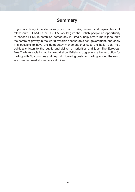### **Summary**

If you are living in a democracy you can: make, amend and repeal laws. A referendum, EFTA/EEA or EU/EEA, would give the British people an opportunity to choose EFTA, re-establish democracy in Britain, help create more jobs, shift the centre of gravity in the world towards accountable self-government, and show it is possible to have pro-democracy movement that uses the ballot box, help politicians listen to the public and deliver on priorities and jobs. The European Free Trade Association option would allow Britain to upgrade to a better option for trading with EU countries and help with lowering costs for trading around the world in expanding markets and opportunities.